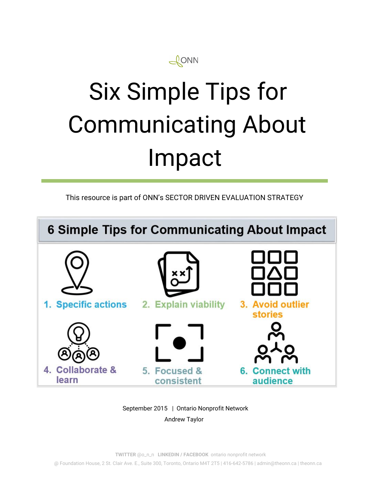

# Six Simple Tips for Communicating About Impact

This resource is part of ONN's SECTOR DRIVEN EVALUATION STRATEGY



September 2015 | Ontario Nonprofit Network Andrew Taylor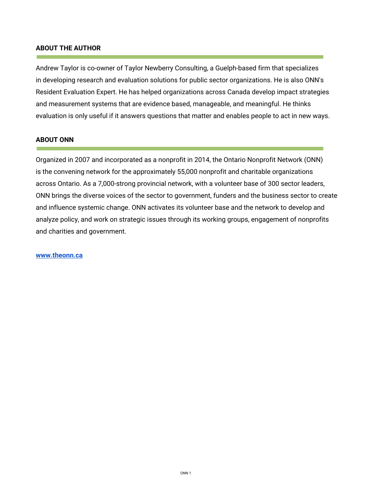#### **ABOUT THE AUTHOR**

Andrew Taylor is co-owner of Taylor Newberry Consulting, a Guelph-based firm that specializes in developing research and evaluation solutions for public sector organizations. He is also ONN's Resident Evaluation Expert. He has helped organizations across Canada develop impact strategies and measurement systems that are evidence based, manageable, and meaningful. He thinks evaluation is only useful if it answers questions that matter and enables people to act in new ways.

#### **ABOUT ONN**

Organized in 2007 and incorporated as a nonprofit in 2014, the Ontario Nonprofit Network (ONN) is the convening network for the approximately 55,000 nonprofit and charitable organizations across Ontario. As a 7,000-strong provincial network, with a volunteer base of 300 sector leaders, ONN brings the diverse voices of the sector to government, funders and the business sector to create and influence systemic change. ONN activates its volunteer base and the network to develop and analyze policy, and work on strategic issues through its working groups, engagement of nonprofits and charities and government.

#### **[www.theonn.ca](http://www.theonn.ca/)**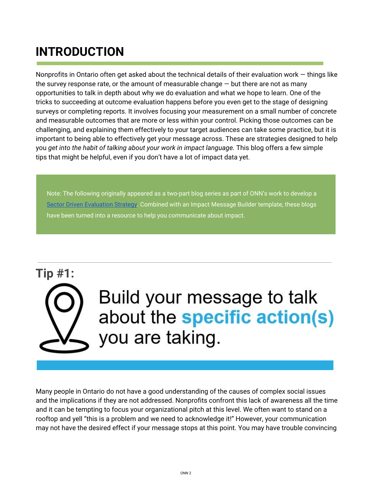## **INTRODUCTION**

Nonprofits in Ontario often get asked about the technical details of their evaluation work — things like the survey response rate, or the amount of measurable change  $-$  but there are not as many opportunities to talk in depth about why we do evaluation and what we hope to learn. One of the tricks to succeeding at outcome evaluation happens before you even get to the stage of designing surveys or completing reports. It involves focusing your measurement on a small number of concrete and measurable outcomes that are more or less within your control. Picking those outcomes can be challenging, and explaining them effectively to your target audiences can take some practice, but it is important to being able to effectively get your message across. These are strategies designed to help you *get into the habit of talking about your work in impact language.* This blog offers a few simple tips that might be helpful, even if you don't have a lot of impact data yet.

Note: The following originally appeared as a two-part blog series as part of ONN's work to develop [a](http://theonn.ca/our-work/our-structures/evaluation/) Sector Driven [Evaluation](http://theonn.ca/our-work/our-structures/evaluation/) Strategy. Combined with an Impact Message Builder template, these blogs have been turned into a resource to help you communicate about impact.

## **Tip #1:** Build your message to talk about the specific action(s) you are taking.

Many people in Ontario do not have a good understanding of the causes of complex social issues and the implications if they are not addressed. Nonprofits confront this lack of awareness all the time and it can be tempting to focus your organizational pitch at this level. We often want to stand on a rooftop and yell "this is a problem and we need to acknowledge it!" However, your communication may not have the desired effect if your message stops at this point. You may have trouble convincing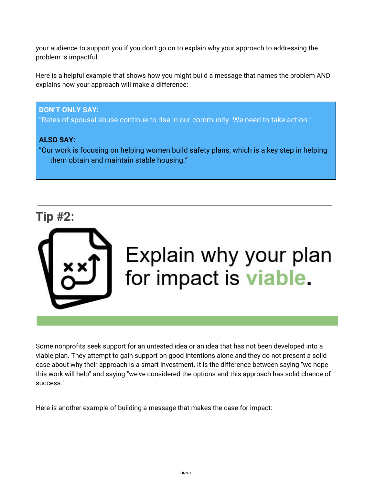your audience to support you if you don't go on to explain why your approach to addressing the problem is impactful.

Here is a helpful example that shows how you might build a message that names the problem AND explains how your approach will make a difference:

### **DON'T ONLY SAY:**

"Rates of spousal abuse continue to rise in our community. We need to take action."

### **ALSO SAY:**

"Our work is focusing on helping women build safety plans, which is a key step in helping them obtain and maintain stable housing."



Some nonprofits seek support for an untested idea or an idea that has not been developed into a viable plan. They attempt to gain support on good intentions alone and they do not present a solid case about why their approach is a smart investment. It is the difference between saying "we hope this work will help" and saying "we've considered the options and this approach has solid chance of success."

Here is another example of building a message that makes the case for impact: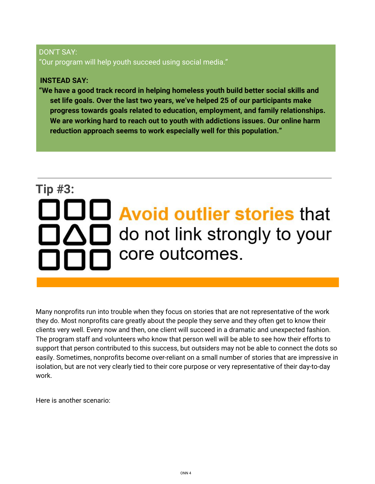### DON'T SAY: "Our program will help youth succeed using social media."

### **INSTEAD SAY:**

**"We have a good track record in helping homeless youth build better social skills and set life goals. Over the last two years, we've helped 25 of our participants make progress towards goals related to education, employment, and family relationships. We are working hard to reach out to youth with addictions issues. Our online harm reduction approach seems to work especially well for this population."**

## **Tip #3:**  $\Box$  Avoid outlier stories that  $\Box\triangle\Box$  do not link strongly to your core outcomes.

Many nonprofits run into trouble when they focus on stories that are not representative of the work they do. Most nonprofits care greatly about the people they serve and they often get to know their clients very well. Every now and then, one client will succeed in a dramatic and unexpected fashion. The program staff and volunteers who know that person well will be able to see how their efforts to support that person contributed to this success, but outsiders may not be able to connect the dots so easily. Sometimes, nonprofits become over-reliant on a small number of stories that are impressive in isolation, but are not very clearly tied to their core purpose or very representative of their day-to-day work.

Here is another scenario: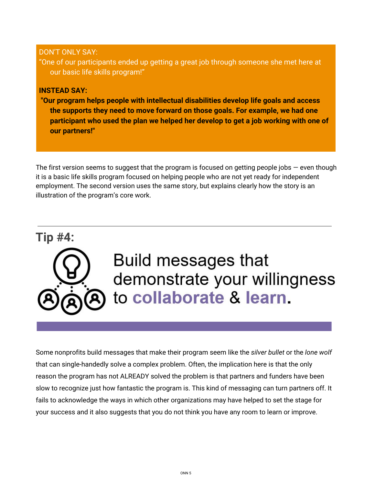### DON'T ONLY SAY:

"One of our participants ended up getting a great job through someone she met here at our basic life skills program!"

### **INSTEAD SAY:**

 **"Our program helps people with intellectual disabilities develop life goals and access the supports they need to move forward on those goals. For example, we had one participant who used the plan we helped her develop to get a job working with one of our partners!"**

The first version seems to suggest that the program is focused on getting people jobs  $-$  even though it is a basic life skills program focused on helping people who are not yet ready for independent employment. The second version uses the same story, but explains clearly how the story is an illustration of the program's core work.

### **Tip #4:**



## Build messages that demonstrate your willingness to collaborate & learn.

Some nonprofits build messages that make their program seem like the *silver bullet* or the *lone wolf* that can single-handedly solve a complex problem. Often, the implication here is that the only reason the program has not ALREADY solved the problem is that partners and funders have been slow to recognize just how fantastic the program is. This kind of messaging can turn partners off. It fails to acknowledge the ways in which other organizations may have helped to set the stage for your success and it also suggests that you do not think you have any room to learn or improve.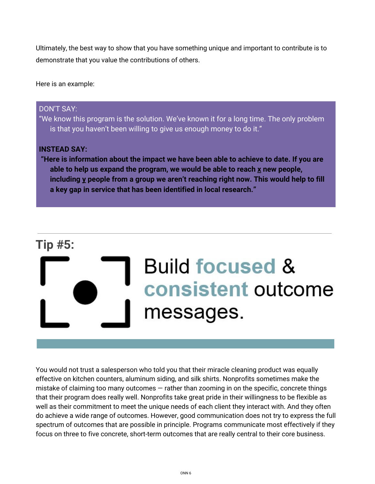Ultimately, the best way to show that you have something unique and important to contribute is to demonstrate that you value the contributions of others.

Here is an example:

### DON'T SAY:

"We know this program is the solution. We've known it for a long time. The only problem is that you haven't been willing to give us enough money to do it."

### **INSTEAD SAY:**

 **"Here is information about the impact we have been able to achieve to date. If you are able to help us expand the program, we would be able to reach x new people, including y people from a group we aren't reaching right now. This would help to fill a key gap in service that has been identified in local research."**

### **Tip #5:**

## **Build focused &** consistent outcome messages.

You would not trust a salesperson who told you that their miracle cleaning product was equally effective on kitchen counters, aluminum siding, and silk shirts. Nonprofits sometimes make the mistake of claiming too many outcomes  $-$  rather than zooming in on the specific, concrete things that their program does really well. Nonprofits take great pride in their willingness to be flexible as well as their commitment to meet the unique needs of each client they interact with. And they often do achieve a wide range of outcomes. However, good communication does not try to express the full spectrum of outcomes that are possible in principle. Programs communicate most effectively if they focus on three to five concrete, short-term outcomes that are really central to their core business.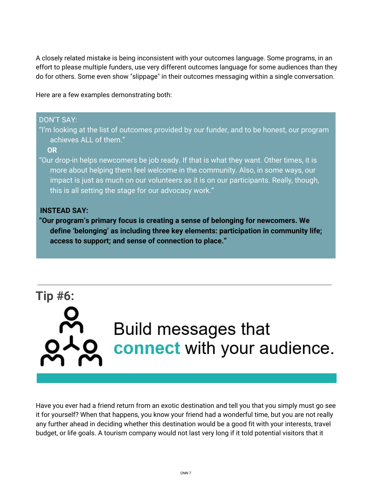A closely related mistake is being inconsistent with your outcomes language. Some programs, in an effort to please multiple funders, use very different outcomes language for some audiences than they do for others. Some even show "slippage" in their outcomes messaging within a single conversation.

Here are a few examples demonstrating both:

DON'T SAY:

### "I'm looking at the list of outcomes provided by our funder, and to be honest, our program achieves ALL of them." **OR** "Our drop-in helps newcomers be job ready. If that is what they want. Other times, it is more about helping them feel welcome in the community. Also, in some ways, our impact is just as much on our volunteers as it is on our participants. Really, though, this is all setting the stage for our advocacy work." **INSTEAD SAY: "Our program's primary focus is creating a sense of belonging for newcomers. We define 'belonging' as including three key elements: participation in community life;**

**access to support; and sense of connection to place."**

# **Tip #6: Build messages that** connect with your audience.

Have you ever had a friend return from an exotic destination and tell you that you simply must go see it for yourself? When that happens, you know your friend had a wonderful time, but you are not really any further ahead in deciding whether this destination would be a good fit with your interests, travel budget, or life goals. A tourism company would not last very long if it told potential visitors that it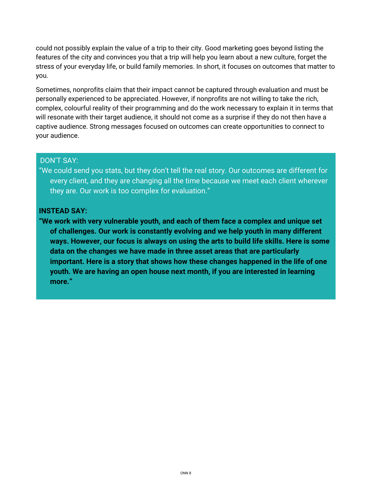could not possibly explain the value of a trip to their city. Good marketing goes beyond listing the features of the city and convinces you that a trip will help you learn about a new culture, forget the stress of your everyday life, or build family memories. In short, it focuses on outcomes that matter to you.

Sometimes, nonprofits claim that their impact cannot be captured through evaluation and must be personally experienced to be appreciated. However, if nonprofits are not willing to take the rich, complex, colourful reality of their programming and do the work necessary to explain it in terms that will resonate with their target audience, it should not come as a surprise if they do not then have a captive audience. Strong messages focused on outcomes can create opportunities to connect to your audience.

### DON'T SAY:

"We could send you stats, but they don't tell the real story. Our outcomes are different for every client, and they are changing all the time because we meet each client wherever they are. Our work is too complex for evaluation."

### **INSTEAD SAY:**

**"We work with very vulnerable youth, and each of them face a complex and unique set of challenges. Our work is constantly evolving and we help youth in many different ways. However, our focus is always on using the arts to build life skills. Here is some data on the changes we have made in three asset areas that are particularly important. Here is a story that shows how these changes happened in the life of one youth. We are having an open house next month, if you are interested in learning more."**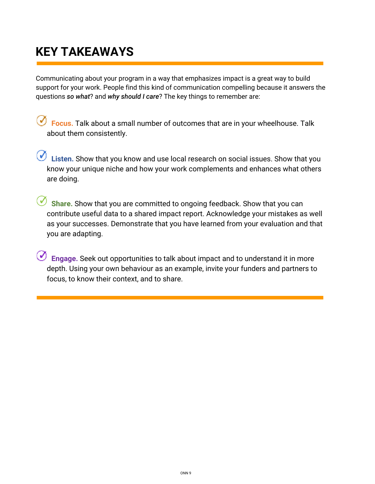## **KEY TAKEAWAYS**

Communicating about your program in a way that emphasizes impact is a great way to build support for your work. People find this kind of communication compelling because it answers the questions *so what*? and *why should I care*? The key things to remember are:

**Focus.** Talk about a small number of outcomes that are in your wheelhouse. Talk about them consistently.

*C* Listen. Show that you know and use local research on social issues. Show that you know your unique niche and how your work complements and enhances what others are doing.

**Share.** Show that you are committed to ongoing feedback. Show that you can contribute useful data to a shared impact report. Acknowledge your mistakes as well as your successes. Demonstrate that you have learned from your evaluation and that you are adapting.

**Engage.** Seek out opportunities to talk about impact and to understand it in more depth. Using your own behaviour as an example, invite your funders and partners to focus, to know their context, and to share.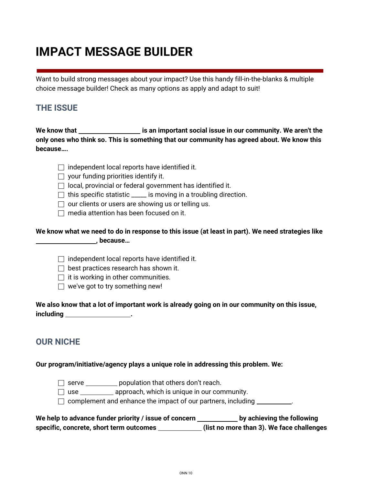## **IMPACT MESSAGE BUILDER**

Want to build strong messages about your impact? Use this handy fill-in-the-blanks & multiple choice message builder! Check as many options as apply and adapt to suit!

### **THE ISSUE**

**We know that is an important social issue in our community. We aren't the only ones who think so. This is something that our community has agreed about. We know this because….**

|  | $\Box$ independent local reports have identified it. |  |  |  |  |
|--|------------------------------------------------------|--|--|--|--|
|--|------------------------------------------------------|--|--|--|--|

| $\Box$ your funding priorities identify it. |  |
|---------------------------------------------|--|
|---------------------------------------------|--|

- $\Box$  local, provincial or federal government has identified it.
- $\Box$  this specific statistic \_\_\_\_\_ is moving in a troubling direction.
- $\Box$  our clients or users are showing us or telling us.
- $\Box$  media attention has been focused on it.

### We know what we need to do in response to this issue (at least in part). We need strategies like **, because…**

- $\Box$  independent local reports have identified it.
- $\Box$  best practices research has shown it.
- $\Box$  it is working in other communities.
- $\Box$  we've got to try something new!

We also know that a lot of important work is already going on in our community on this issue, **including .**

### **OUR NICHE**

### **Our program/initiative/agency plays a unique role in addressing this problem. We:**

- □ serve \_\_\_\_\_\_\_\_\_\_\_ population that others don't reach.
- $\Box$  use approach, which is unique in our community.
- $\Box$  complement and enhance the impact of our partners, including  $\Box$

**We help to advance funder priority / issue of concern by achieving the following specific, concrete, short term outcomes (list no more than 3). We face challenges**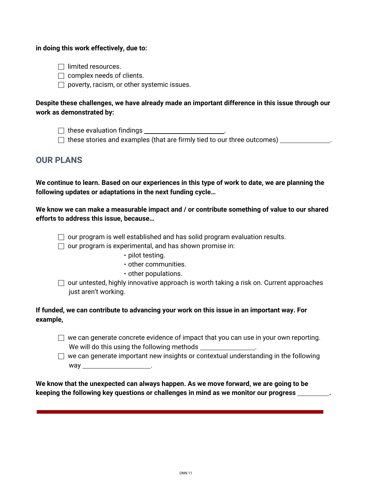#### **in doing this work effectively, due to:**

- $\Box$  limited resources.
- $\Box$  complex needs of clients.
- $\Box$  poverty, racism, or other systemic issues.

### **Despite these challenges, we have already made an important difference in this issue through our work as demonstrated by:**

- ⬜ these evaluation findings .
- $\Box$  these stories and examples (that are firmly tied to our three outcomes)

### **OUR PLANS**

We continue to learn. Based on our experiences in this type of work to date, we are planning the **following updates or adaptations in the next funding cycle…**

**We know we can make a measurable impact and / or contribute something of value to our shared efforts to address this issue, because…**

- $\Box$  our program is well established and has solid program evaluation results.
- $\Box$  our program is experimental, and has shown promise in:
	- pilot testing.
	- other communities.
	- other populations.
- $\Box$  our untested, highly innovative approach is worth taking a risk on. Current approaches just aren't working.

### **If funded, we can contribute to advancing your work on this issue in an important way. For example,**

- $\Box$  we can generate concrete evidence of impact that you can use in your own reporting. We will do this using the following methods
- $\Box$  we can generate important new insights or contextual understanding in the following way .

**We know that the unexpected can always happen. As we move forward, we are going to be keeping the following key questions or challenges in mind as we monitor our progress .**